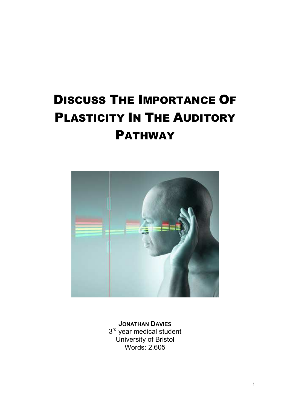# DISCUSS THE IMPORTANCE OF PLASTICITY IN THE AUDITORY PATHWAY



**JONATHAN DAVIES** 3<sup>rd</sup> year medical student University of Bristol Words: 2,605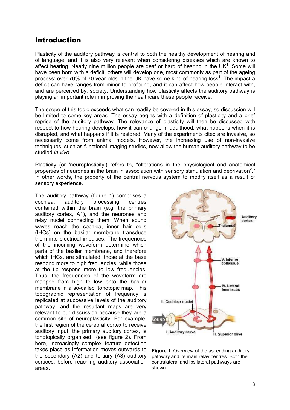#### Introduction

Plasticity of the auditory pathway is central to both the healthy development of hearing and of language, and it is also very relevant when considering diseases which are known to affect hearing. Nearly nine million people are deaf or hard of hearing in the UK $1$ . Some will have been born with a deficit, others will develop one, most commonly as part of the ageing process: over 70% of 70 year-olds in the UK have some kind of hearing loss<sup>1</sup>. The impact a deficit can have ranges from minor to profound, and it can affect how people interact with, and are perceived by, society. Understanding how plasticity affects the auditory pathway is playing an important role in improving the healthcare these people receive.

The scope of this topic exceeds what can readily be covered in this essay, so discussion will be limited to some key areas. The essay begins with a definition of plasticity and a brief reprise of the auditory pathway. The relevance of plasticity will then be discussed with respect to how hearing develops, how it can change in adulthood, what happens when it is disrupted, and what happens if it is restored. Many of the experiments cited are invasive, so necessarily come from animal models. However, the increasing use of non-invasive techniques, such as functional imaging studies, now allow the human auditory pathway to be studied *in vivo*.

Plasticity (or 'neuroplasticity') refers to, "alterations in the physiological and anatomical properties of neurones in the brain in association with sensory stimulation and deprivation<sup>2</sup>." In other words, the property of the central nervous system to modify itself as a result of sensory experience.

The auditory pathway (figure 1) comprises a cochlea, auditory processing centres contained within the brain (e.g. the primary auditory cortex, A1), and the neurones and relay nuclei connecting them. When sound waves reach the cochlea, inner hair cells (IHCs) on the basilar membrane transduce them into electrical impulses. The frequencies of the incoming waveform determine which parts of the basilar membrane, and therefore which IHCs, are stimulated: those at the base respond more to high frequencies, while those at the tip respond more to low frequencies. Thus, the frequencies of the waveform are mapped from high to low onto the basilar membrane in a so-called 'tonotopic map.' This topographic representation of frequency is replicated at successive levels of the auditory pathway, and the resultant maps are very relevant to our discussion because they are a common site of neuroplasticity. For example, the first region of the cerebral cortex to receive auditory input, the primary auditory cortex, is tonotopically organised (see figure 2). From here, increasingly complex feature detection takes place as information moves outwards to the secondary (A2) and tertiary (A3) auditory cortices, before reaching auditory association areas.



**Figure 1**. Overview of the ascending auditory pathway and its main relay centres. Both the contralateral and ipsilateral pathways are shown.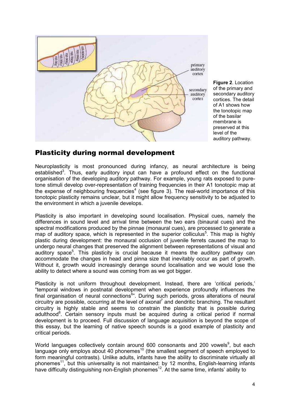

**Figure 2**. Location of the primary and secondary auditory cortices. The detail of A1 shows how the tonotopic map of the basilar membrane is preserved at this level of the auditory pathway.

### Plasticity during normal development

Neuroplasticity is most pronounced during infancy, as neural architecture is being established<sup>3</sup>. Thus, early auditory input can have a profound effect on the functional organisation of the developing auditory pathway. For example, young rats exposed to puretone stimuli develop over-representation of training frequencies in their A1 tonotopic map at the expense of neighbouring frequencies<sup>4</sup> (see figure 3). The real-world importance of this tonotopic plasticity remains unclear, but it might allow frequency sensitivity to be adjusted to the environment in which a juvenile develops.

Plasticity is also important in developing sound localisation. Physical cues, namely the differences in sound level and arrival time between the two ears (binaural cues) and the spectral modifications produced by the pinnae (monaural cues), are processed to generate a map of auditory space, which is represented in the superior colliculus<sup>5</sup>. This map is highly plastic during development: the monaural occlusion of juvenile ferrets caused the map to undergo neural changes that preserved the alignment between representations of visual and auditory space<sup>5</sup>. This plasticity is crucial because it means the auditory pathway can accommodate the changes in head and pinna size that inevitably occur as part of growth. Without it, growth would increasingly derange sound localisation and we would lose the ability to detect where a sound was coming from as we got bigger.

Plasticity is not uniform throughout development. Instead, there are 'critical periods,' "temporal windows in postnatal development when experience profoundly influences the final organisation of neural connections<sup>6</sup>". During such periods, gross alterations of neural circuitry are possible, occurring at the level of axonal<sup>7</sup> and dendritic branching. The resultant circuitry is highly stable and seems to constrain the plasticity that is possible during adulthood<sup>8</sup>. Certain sensory inputs must be acquired during a critical period if normal development is to proceed. Full discussion of language acquisition is beyond the scope of this essay, but the learning of native speech sounds is a good example of plasticity and critical periods.

World languages collectively contain around 600 consonants and 200 vowels<sup>9</sup>, but each language only employs about 40 phonemes<sup>10</sup> (the smallest segment of speech employed to form meaningful contrasts). Unlike adults, infants have the ability to discriminate virtually all phonemes<sup>11</sup>, but this universality is not maintained: by 12 months, English-learning infants have difficulty distinguishing non-English phonemes<sup>12</sup>. At the same time, infants' ability to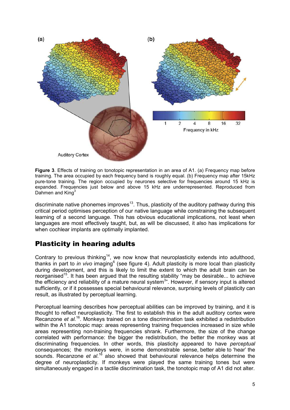

**Figure 3**. Effects of training on tonotopic representation in an area of A1. (a) Frequency map before training. The area occupied by each frequency band is roughly equal. (b) Frequency map after 15kHz pure-tone training. The region occupied by neurones selective for frequencies around 15 kHz is expanded. Frequencies just below and above 15 kHz are underrepresented. Reproduced from Dahmen and  $King<sup>3</sup>$ 

discriminate native phonemes improves<sup>13</sup>. Thus, plasticity of the auditory pathway during this critical period optimises perception of our native language while constraining the subsequent learning of a second language. This has obvious educational implications, not least when languages are most effectively taught, but, as will be discussed, it also has implications for when cochlear implants are optimally implanted.

## Plasticity in hearing adults

Contrary to previous thinking<sup>14</sup>, we now know that neuroplasticity extends into adulthood, thanks in part to *in vivo* imaging<sup>6</sup> (see figure 4). Adult plasticity is more local than plasticity during development, and this is likely to limit the extent to which the adult brain can be reorganised<sup>15</sup>. It has been argued that the resulting stability "may be desirable... to achieve the efficiency and reliability of a mature neural system<sup>3</sup>". However, if sensory input is altered sufficiently, or if it possesses special behavioural relevance, surprising levels of plasticity can result, as illustrated by perceptual learning.

Perceptual learning describes how perceptual abilities can be improved by training, and it is thought to reflect neuroplasticity. The first to establish this in the adult auditory cortex were Recanzone *et al.*<sup>16</sup>. Monkeys trained on a tone discrimination task exhibited a redistribution within the A1 tonotopic map: areas representing training frequencies increased in size while areas representing non-training frequencies shrank. Furthermore, the size of the change correlated with performance: the bigger the redistribution, the better the monkey was at discriminating frequencies. In other words, this plasticity appeared to have *perceptual* consequences; the monkeys were, in some demonstrable sense, better able to 'hear' the sounds. Recanzone *et al*.<sup>16</sup> also showed that behavioural relevance helps determine the degree of neuroplasticity. If monkeys were played the same training tones but were simultaneously engaged in a tactile discrimination task, the tonotopic map of A1 did not alter.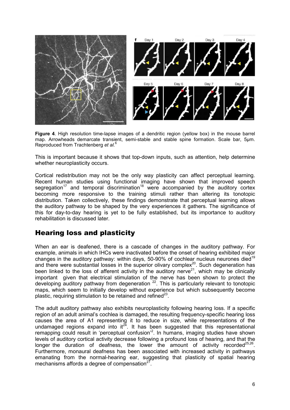

**Figure 4**. High resolution time-lapse images of a dendritic region (yellow box) in the mouse barrel map. Arrowheads demarcate transient, semi-stable and stable spine formation. Scale bar, 5µm. Reproduced from Trachtenberg *et al.*<sup>6</sup>

This is important because it shows that top-down inputs, such as attention, help determine whether neuroplasticity occurs.

Cortical redistribution may not be the only way plasticity can affect perceptual learning. Recent human studies using functional imaging have shown that improved speech segregation<sup>17</sup> and temporal discrimination<sup>18</sup> were accompanied by the auditory cortex becoming more responsive to the training stimuli rather than altering its tonotopic distribution. Taken collectively, these findings demonstrate that perceptual learning allows the auditory pathway to be shaped by the very experiences it gathers. The significance of this for day-to-day hearing is yet to be fully established, but its importance to auditory rehabilitation is discussed later.

### Hearing loss and plasticity

When an ear is deafened, there is a cascade of changes in the auditory pathway. For example, animals in which IHCs were inactivated before the onset of hearing exhibited major changes in the auditory pathway: within days, 50-90% of cochlear nucleus neurones died<sup>19</sup> and there were substantial losses in the superior olivary complex<sup>20</sup>. Such degeneration has been linked to the loss of afferent activity in the auditory nerve<sup>21</sup>, which may be clinically important given that electrical stimulation of the nerve has been shown to protect the developing auditory pathway from degeneration  $22$ . This is particularly relevant to tonotopic maps, which seem to initially develop without experience but which subsequently become plastic, requiring stimulation to be retained and refined $^{23}$ .

The adult auditory pathway also exhibits neuroplasticity following hearing loss. If a specific region of an adult animal's cochlea is damaged, the resulting frequency-specific hearing loss causes the area of A1 representing it to reduce in size, while representations of the undamaged regions expand into it<sup>24</sup>. It has been suggested that this representational remapping could result in 'perceptual confusion'<sup>2</sup>. In humans, imaging studies have shown levels of auditory cortical activity decrease following a profound loss of hearing, and that the longer the duration of deafness, the lower the amount of activity recorded<sup>25,26</sup>. Furthermore, monaural deafness has been associated with increased activity in pathways emanating from the normal-hearing ear, suggesting that plasticity of spatial hearing mechanisms affords a degree of compensation $27$ .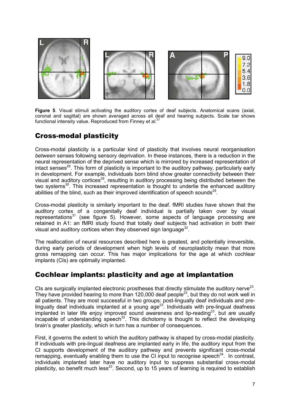

**Figure 5**. Visual stimuli activating the auditory cortex of deaf subjects. Anatomical scans (axial, coronal and sagittal) are shown averaged across all deaf and hearing subjects. Scale bar shows functional intensity value. Reproduced from Finney *et al*. 31

## Cross-modal plasticity

Cross-modal plasticity is a particular kind of plasticity that involves neural reorganisation *between* senses following sensory deprivation. In these instances, there is a reduction in the neural representation of the deprived sense which is mirrored by increased representation of intact senses<sup>28</sup>. This form of plasticity is important to the auditory pathway, particularly early in development. For example, individuals born blind show greater connectivity between their visual and auditory cortices<sup>29</sup>, resulting in auditory processing being distributed between the two systems<sup>30</sup>. This increased representation is thought to underlie the enhanced auditory abilities of the blind, such as their improved identification of speech sounds<sup>29</sup>.

Cross-modal plasticity is similarly important to the deaf. fMRI studies have shown that the auditory cortex of a congenitally deaf individual is partially taken over by visual representations<sup>31</sup> (see figure 5). However, some aspects of language processing are retained in A1: an fMRI study found that totally deaf subjects had activation in both their visual and auditory cortices when they observed sign language $^{32}$ .

The reallocation of neural resources described here is greatest, and potentially irreversible, during early periods of development when high levels of neuroplasticity mean that more gross remapping can occur. This has major implications for the age at which cochlear implants (CIs) are optimally implanted.

## Cochlear implants: plasticity and age at implantation

CIs are surgically implanted electronic prostheses that directly stimulate the auditory nerve<sup>23</sup>. They have provided hearing to more than 120,000 deaf people<sup>23</sup>, but they do not work well in all patients. They are most successful in two groups: post-lingually deaf individuals and prelingually deaf individuals implanted at a young  $age^{23}$ . Individuals with pre-lingual deafness  $implanted$  in later life enjoy improved sound awareness and lip-reading<sup>23</sup>, but are usually incapable of understanding speech<sup>33</sup>. This dichotomy is thought to reflect the developing brain's greater plasticity, which in turn has a number of consequences.

First, it governs the extent to which the auditory pathway is shaped by cross-modal plasticity. If individuals with pre-lingual deafness are implanted early in life, the auditory input from the CI supports development of the auditory pathway and prevents significant cross-modal remapping, eventually enabling them to use the CI input to recognise speech<sup>34</sup>. In contrast, individuals implanted later have no auditory input to suppress substantial cross-modal plasticity, so benefit much less<sup>23</sup>. Second, up to 15 years of learning is required to establish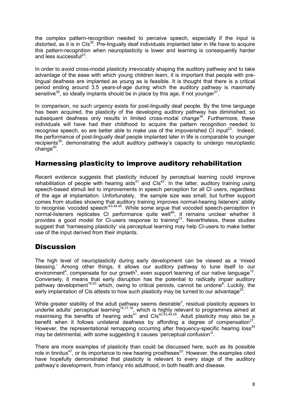the complex pattern-recognition needed to perceive speech, especially if the input is distorted, as it is in  $CIs<sup>35</sup>$ . Pre-lingually deaf individuals implanted later in life have to acquire this pattern-recognition when neuroplasticity is lower and learning is consequently harder and less successful<sup>23</sup>.

In order to avoid cross-modal plasticity irrevocably shaping the auditory pathway and to take advantage of the ease with which young children learn, it is important that people with prelingual deafness are implanted as young as is feasible. It is thought that there is a critical period ending around 3.5 years-of-age during which the auditory pathway is maximally sensitive $^{36}$ , so ideally implants should be in place by this age, if not younger $^{37}$ .

In comparison, no such urgency exists for post-lingually deaf people. By the time language has been acquired, the plasticity of the developing auditory pathway has diminished, so subsequent deafness only results in limited cross-modal change<sup>38</sup>. Furthermore, these individuals will have had their childhood to acquire the pattern recognition needed to recognise speech, so are better able to make use of the impoverished CI input<sup>23</sup>. Indeed, the performance of post-lingually deaf people implanted later in life is comparable to younger recipients<sup>39</sup>, demonstrating the adult auditory pathway's capacity to undergo neuroplastic change<sup>40</sup>.

## Harnessing plasticity to improve auditory rehabilitation

Recent evidence suggests that plasticity induced by perceptual learning could improve rehabilitation of people with hearing aids<sup> $41$ </sup> and  $C1s<sup>42</sup>$ . In the latter, auditory training using speech-based stimuli led to improvements in speech perception for all CI users, regardless of the age at implantation. Unfortunately, the sample size was small, but further support comes from studies showing that auditory training improves normal-hearing listeners' ability to recognise 'vocoded speech'43,44,45. While some argue that vocoded speech-perception in normal-listeners replicates CI performance quite well<sup>46</sup>, it remains unclear whether it provides a good model for CI-users response to training<sup>23</sup>. Nevertheless, these studies suggest that 'harnessing plasticity' via perceptual learning may help CI-users to make better use of the input derived from their implants.

### **Discussion**

The high level of neuroplasticity during early development can be viewed as a 'mixed blessing.' Among other things, it allows our auditory pathway to tune itself to our environment<sup>4</sup>, compensate for our growth<sup>5</sup>, even support learning of our native language<sup>13</sup>. Conversely, it means that early disruption has the potential to radically impair auditory pathway development<sup>19,20</sup> which, owing to critical periods, cannot be undone<sup>8</sup>. Luckily, the early implantation of CIs attests to how such plasticity may be turned to our advantage<sup>23</sup>.

While greater stability of the adult pathway seems desirable<sup>3</sup>, residual plasticity appears to underlie adults' perceptual learning<sup>16,17,18</sup>, which is highly relevant to programmes aimed at maximising the benefits of hearing aids<sup>41</sup> and  $\text{Cls}^{42,43,44,45}$ . Adult plasticity may also be a benefit when it follows unilateral deafness by affording a degree of compensation<sup>27</sup>. However, the representational remapping occurring after frequency-specific hearing loss<sup>24</sup> may be detrimental, with some suggesting it causes 'perceptual confusion'<sup>2</sup>.

There are more examples of plasticity than could be discussed here, such as its possible role in tinnitus<sup>47</sup>, or its importance to new hearing prostheses<sup>23</sup>. However, the examples cited have hopefully demonstrated that plasticity is relevant to every stage of the auditory pathway's development, from infancy into adulthood, in both health and disease.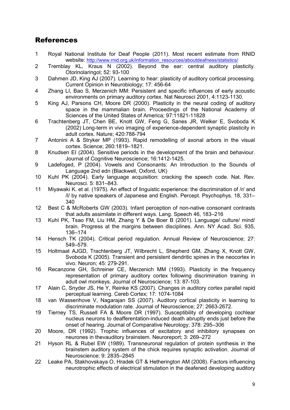## **References**

- 1 Royal National Institute for Deaf People (2011). Most recent estimate from RNID website: http://www.rnid.org.uk/information\_resources/aboutdeafness/statistics/
- 2 Tremblay KL, Kraus N (2002). Beyond the ear: central auditory plasticity. Otorinolaringol; 52: 93-100
- 3 Dahmen JD, King AJ (2007). Learning to hear: plasticity of auditory cortical processing. Current Opinion in Neurobiology; 17: 456-64
- 4 Zhang LI, Bao S, Merzenich MM: Persistent and specific influences of early acoustic environments on primary auditory cortex. Nat Neurosci 2001, 4:1123-1130.
- 5 King AJ, Parsons CH, Moore DR (2000). Plasticity in the neural coding of auditory space in the mammalian brain. Proceedings of the National Academy of Sciences of the United States of America; 97:11821-11828
- 6 Trachtenberg JT, Chen BE, Knott GW, Feng G, Sanes JR, Welker E, Svoboda K (2002) Long-term in vivo imaging of experience-dependent synaptic plasticity in adult cortex. Nature; 420:788-794
- 7 Antonini A & Stryker MP (1993). Rapid remodelling of axonal arbors in the visual cortex. Science; 260:1819–1821.
- 8 Knudsen EI (2004). Sensitive periods in the development of the brain and behaviour. Journal of Cognitive Neuroscience; 16:1412-1425.
- 9 Ladefoged, P (2004). Vowels and Consonants: An Introduction to the Sounds of Language 2nd edn (Blackwell, Oxford, UK)
- 10 Kuhl PK (2004). Early language acquisition: cracking the speech code. Nat. Rev. Neurosci. 5: 831–843.
- 11 Miyawaki K. et al. (1975). An effect of linguistic experience: the discrimination of /r/ and /l/ by native speakers of Japanese and English. Percept. Psychophys. 18, 331– 340
- 12 Best C & McRoberts GW (2003). Infant perception of non-native consonant contrasts that adults assimilate in different ways. Lang. Speech 46, 183–216
- 13 Kuhl PK, Tsao FM, Liu HM, Zhang Y & De Boer B (2001). Language/ culture/ mind/ brain. Progress at the margins between disciplines. Ann. NY Acad. Sci. 935, 136–174
- 14 Hensch TK (2004). Critical period regulation. Annual Review of Neuroscience; 27: 549–579.
- 15 Holtmaat AJGD, Trachtenberg JT, Wilbrecht L, Shepherd GM, Zhang X, Knott GW, Svoboda K (2005). Transient and persistent dendritic spines in the neocortex in vivo. Neuron; 45: 279-291.
- 16 Recanzone GH, Schreiner CE, Merzenich MM (1993). Plasticity in the frequency representation of primary auditory cortex following discrimination training in adult owl monkeys. Journal of Neuroscience; 13: 87-103.
- 17 Alain C, Snyder JS, He Y, Reinke KS (2007). Changes in auditory cortex parallel rapid perceptual learning. Cereb Cortex; 17: 1074-1084
- 18 van Wassenhove V, Nagarajan SS (2007). Auditory cortical plasticity in learning to discriminate modulation rate. Journal of Neuroscience; 27: 2663-2672.
- 19 Tierney TS, Russell FA & Moore DR (1997). Susceptibility of developing cochlear nucleus neurons to deafferentation-induced death abruptly ends just before the onset of hearing. Journal of Comparative Neurology; 378: 295–306
- 20 Moore, DR (1992). Trophic influences of excitatory and inhibitory synapses on neurones in thevauditory brainstem. Neuroreport; 3: 269–272
- 21 Hyson RL & Rubel EW (1989). Transneuronal regulation of protein synthesis in the brainstem auditory system of the chick requires synaptic activation. Journal of Neuroscience; 9: 2835–2845
- 22 Leake PA, Stakhovskaya O, Hradek GT & Hetherington AM (2008). Factors influencing neurotrophic effects of electrical stimulation in the deafened developing auditory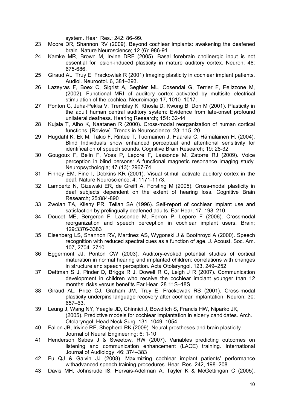system. Hear. Res.; 242: 86–99.

- 23 Moore DR, Shannon RV (2009). Beyond cochlear implants: awakening the deafened brain. Nature Neuroscience; 12 (6): 986-91
- 24 Kamke MR, Brown M, Irvine DRF (2005). Basal forebrain cholinergic input is not essential for lesion-induced plasticity in mature auditory cortex. Neuron; 48: 675-686.
- 25 Giraud AL, Truy E, Frackowiak R (2001) Imaging plasticity in cochlear implant patients. Audiol. Neurootol. 6, 381–393.
- 26 Lazeyras F, Boex C, Sigrist A, Seghier ML, Cosendai G, Terrier F, Pelizzone M, (2002). Functional MRI of auditory cortex activated by multisite electrical stimulation of the cochlea. Neuroimage 17, 1010–1017.
- 27 Ponton C, Juha-Pekka V, Tremblay K, Khosla D, Kwong B, Don M (2001). Plasticity in the adult human central auditory system: Evidence from late-onset profound unilateral deafness. Hearing Research; 154: 32-44
- 28 Kujala T, Alho K, Naatanen R (2000). Cross-modal reorganization of human cortical functions. [Review]. Trends in Neuroscience; 23: 115–20
- 29 Hugdahl K, Ek M, Takio F, Rintee T, Tuomainen J, Haarala C, Hämäläinen H. (2004). Blind Individuals show enhanced perceptual and attentional sensitivity for identification of speech sounds. Cognitive Brain Research; 19: 28-32
- 30 Gougoux F, Belin F, Voss P, Lepore F, Lassonde M, Zatorre RJ (2009). Voice perception in blind persons: A functional magnetic resonance imaging study. Neuropsychologia; 47 (13): 2967-74
- 31 Finney EM, Fine I, Dobkins KR (2001). Visual stimuli activate auditory cortex in the deaf. Nature Neuroscience; 4: 1171-1173.
- 32 Lambertz N, Gizewski ER, de Greiff A, Forsting M (2005). Cross-modal plasticity in deaf subjects dependent on the extent of hearing loss. Cognitive Brain Research; 25:884-890
- 33 Zwolan TA, Kileny PR, Telian SA (1996). Self-report of cochlear implant use and satisfaction by prelingually deafened adults. Ear Hear; 17: 198–210.
- 34 Doucet ME, Bergeron F, Lassonde M, Ferron P, Lepore F (2006). Crossmodal reorganization and speech perception in cochlear implant users. Brain; 129:3376-3383
- 35 Eisenberg LS, Shannon RV, Martinez AS, Wygonski J & Boothroyd A (2000). Speech recognition with reduced spectral cues as a function of age. J. Acoust. Soc. Am. 107, 2704–2710.
- 36 Eggermont JJ, Ponton CW (2003). Auditory-evoked potential studies of cortical maturation in normal hearing and implanted children: correlations with changes in structure and speech perception. Acta Otolaryngol. 123, 249–252
- 37 Dettman S J, Pinder D, Briggs R J, Dowell R C, Leigh J R (2007). Communication development in children who receive the cochlear implant younger than 12 months: risks versus benefits Ear Hear. 28 11S–18S
- 38 Giraud AL, Price CJ, Graham JM, Truy E, Frackowiak RS (2001). Cross-modal plasticity underpins language recovery after cochlear implantation. Neuron; 30: 657–63.
- 39 Leung J, Wang NY, Yeagle JD, Chinnici J, Bowditch S, Francis HW, Niparko JK, (2005). Predictive models for cochlear implantation in elderly candidates. Arch. Otolaryngol. Head Neck Surg. 131, 1049–1054
- 40 Fallon JB, Irivine RF, Shepherd RK (2009). Neural prostheses and brain plasticity. Journal of Neural Engineering; 6: 1-10
- 41 Henderson Sabes J & Sweetow, RW (2007). Variables predicting outcomes on listening and communication enhancement (LACE) training. International Journal of Audiology; 46: 374–383
- 42 Fu QJ & Galvin JJ (2008). Maximizing cochlear implant patients' performance withadvanced speech training procedures. Hear. Res. 242, 198–208
- 43 Davis MH, Johnsrude IS, Hervais-Adelman A, Tayler K & McGettingan C (2005).